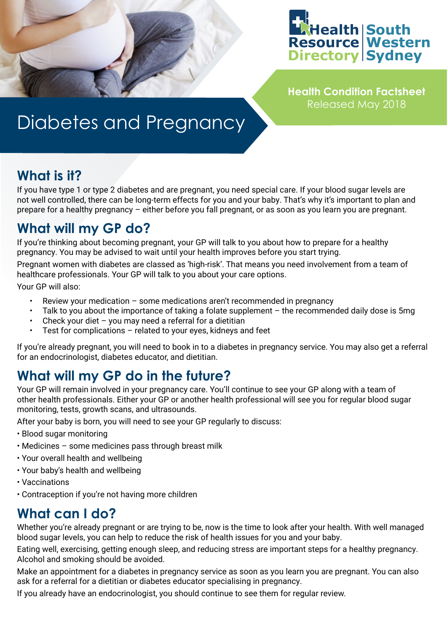

**Health Condition Factsheet** Released May 2018

# Diabetes and Pregnancy

### **What is it?**

If you have type 1 or type 2 diabetes and are pregnant, you need special care. If your blood sugar levels are not well controlled, there can be long-term effects for you and your baby. That's why it's important to plan and prepare for a healthy pregnancy – either before you fall pregnant, or as soon as you learn you are pregnant.

## **What will my GP do?**

If you're thinking about becoming pregnant, your GP will talk to you about how to prepare for a healthy pregnancy. You may be advised to wait until your health improves before you start trying.

Pregnant women with diabetes are classed as 'high-risk'. That means you need involvement from a team of healthcare professionals. Your GP will talk to you about your care options.

Your GP will also:

- Review your medication some medications aren't recommended in pregnancy
- Talk to you about the importance of taking a folate supplement the recommended daily dose is 5mg
- Check your diet you may need a referral for a dietitian
- Test for complications  $-$  related to your eyes, kidneys and feet

If you're already pregnant, you will need to book in to a diabetes in pregnancy service. You may also get a referral for an endocrinologist, diabetes educator, and dietitian.

# **What will my GP do in the future?**

Your GP will remain involved in your pregnancy care. You'll continue to see your GP along with a team of other health professionals. Either your GP or another health professional will see you for regular blood sugar monitoring, tests, growth scans, and ultrasounds.

After your baby is born, you will need to see your GP regularly to discuss:

- Blood sugar monitoring
- Medicines some medicines pass through breast milk
- Your overall health and wellbeing
- Your baby's health and wellbeing
- Vaccinations
- Contraception if you're not having more children

# **What can I do?**

Whether you're already pregnant or are trying to be, now is the time to look after your health. With well managed blood sugar levels, you can help to reduce the risk of health issues for you and your baby.

Eating well, exercising, getting enough sleep, and reducing stress are important steps for a healthy pregnancy. Alcohol and smoking should be avoided.

Make an appointment for a diabetes in pregnancy service as soon as you learn you are pregnant. You can also ask for a referral for a dietitian or diabetes educator specialising in pregnancy.

If you already have an endocrinologist, you should continue to see them for regular review.